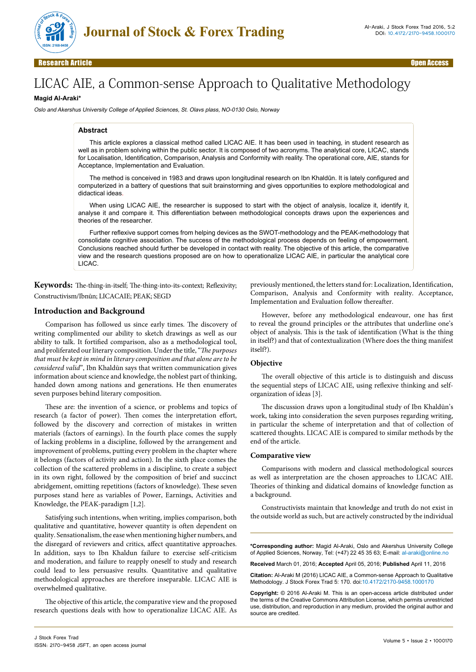

# LICAC AIE, a Common-sense Approach to Qualitative Methodology

#### **Magid Al-Araki\***

Oslo and Akershus University College of Applied Sciences, St. Olavs plass, NO-0130 Oslo, Norway

## **Abstract**

This article explores a classical method called LICAC AIE. It has been used in teaching, in student research as well as in problem solving within the public sector. It is composed of two acronyms. The analytical core, LICAC, stands for Localisation, Identification, Comparison, Analysis and Conformity with reality. The operational core, AIE, stands for Acceptance, Implementation and Evaluation.

The method is conceived in 1983 and draws upon longitudinal research on Ibn Khaldūn. It is lately configured and computerized in a battery of questions that suit brainstorming and gives opportunities to explore methodological and didactical ideas.

When using LICAC AIE, the researcher is supposed to start with the object of analysis, localize it, identify it, analyse it and compare it. This differentiation between methodological concepts draws upon the experiences and theories of the researcher.

Further reflexive support comes from helping devices as the SWOT-methodology and the PEAK-methodology that consolidate cognitive association. The success of the methodological process depends on feeling of empowerment. Conclusions reached should further be developed in contact with reality. The objective of this article, the comparative view and the research questions proposed are on how to operationalize LICAC AIE, in particular the analytical core LICAC.

**Keywords:** The-thing-in-itself; The-thing-into-its-context; Reflexivity; Constructivism/Ibnūn; LICACAIE; PEAK; SEGD

## **Introduction and Background**

Comparison has followed us since early times. The discovery of writing complimented our ability to sketch drawings as well as our ability to talk. It fortified comparison, also as a methodological tool, and proliferated our literary composition. Under the title, "*The purposes that must be kept in mind in literary composition and that alone are to be considered valid*", Ibn Khaldūn says that written communication gives information about science and knowledge, the noblest part of thinking, handed down among nations and generations. He then enumerates seven purposes behind literary composition.

These are: the invention of a science, or problems and topics of research (a factor of power). Then comes the interpretation effort, followed by the discovery and correction of mistakes in written materials (factors of earnings). In the fourth place comes the supply of lacking problems in a discipline, followed by the arrangement and improvement of problems, putting every problem in the chapter where it belongs (factors of activity and action). In the sixth place comes the collection of the scattered problems in a discipline, to create a subject in its own right, followed by the composition of brief and succinct abridgement, omitting repetitions (factors of knowledge). These seven purposes stand here as variables of Power, Earnings, Activities and Knowledge, the PEAK-paradigm [1,2].

Satisfying such intentions, when writing, implies comparison, both qualitative and quantitative, however quantity is often dependent on quality. Sensationalism, the ease when mentioning higher numbers, and the disregard of reviewers and critics, affect quantitative approaches. In addition, says to Ibn Khaldun failure to exercise self-criticism and moderation, and failure to reapply oneself to study and research could lead to less persuasive results. Quantitative and qualitative methodological approaches are therefore inseparable. LICAC AIE is overwhelmed qualitative.

The objective of this article, the comparative view and the proposed research questions deals with how to operationalize LICAC AIE. As previously mentioned, the letters stand for: Localization, Identification, Comparison, Analysis and Conformity with reality. Acceptance, Implementation and Evaluation follow thereafter.

However, before any methodological endeavour, one has first to reveal the ground principles or the attributes that underline one's object of analysis. This is the task of identification (What is the thing in itself?) and that of contextualization (Where does the thing manifest itself?).

## **Objective**

The overall objective of this article is to distinguish and discuss the sequential steps of LICAC AIE, using reflexive thinking and selforganization of ideas [3].

The discussion draws upon a longitudinal study of Ibn Khaldūn's work, taking into consideration the seven purposes regarding writing, in particular the scheme of interpretation and that of collection of scattered thoughts. LICAC AIE is compared to similar methods by the end of the article.

#### **Comparative view**

Comparisons with modern and classical methodological sources as well as interpretation are the chosen approaches to LICAC AIE. Theories of thinking and didatical domains of knowledge function as a background.

Constructivists maintain that knowledge and truth do not exist in the outside world as such, but are actively constructed by the individual

**\*Corresponding author:** Magid Al-Araki, Oslo and Akershus University College of Applied Sciences, Norway, Tel: (+47) 22 45 35 63; E-mail: al-araki@online.no

**Received** March 01, 2016; **Accepted** April 05, 2016; **Published** April 11, 2016

**Citation:** Al-Araki M (2016) LICAC AIE, a Common-sense Approach to Qualitative Methodology. J Stock Forex Trad 5: 170. doi:10.4172/2170-9458.1000170

**Copyright:** © 2016 Al-Araki M. This is an open-access article distributed under the terms of the Creative Commons Attribution License, which permits unrestricted use, distribution, and reproduction in any medium, provided the original author and source are credited.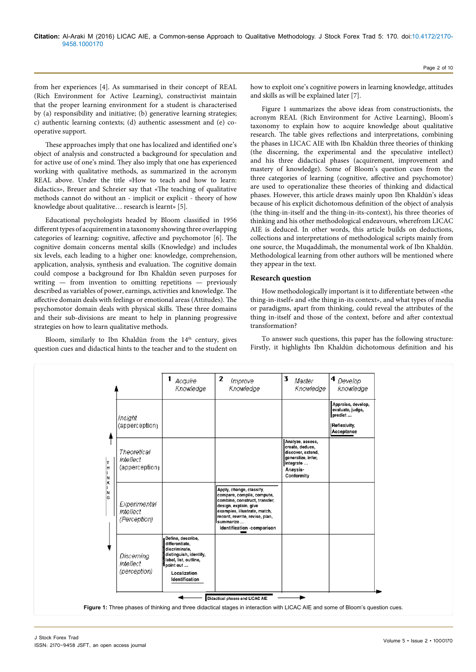from her experiences [4]. As summarised in their concept of REAL (Rich Environment for Active Learning), constructivist maintain that the proper learning environment for a student is characterised by (a) responsibility and initiative; (b) generative learning strategies; c) authentic learning contexts; (d) authentic assessment and (e) cooperative support.

These approaches imply that one has localized and identified one's object of analysis and constructed a background for speculation and for active use of one's mind. They also imply that one has experienced working with qualitative methods, as summarized in the acronym REAL above. Under the title «How to teach and how to learn: didactics», Breuer and Schreier say that «The teaching of qualitative methods cannot do without an - implicit or explicit - theory of how knowledge about qualitative… research is learnt» [5].

Educational psychologists headed by Bloom classified in 1956 different types of acquirement in a taxonomy showing three overlapping categories of learning: cognitive, affective and psychomotor [6]. The cognitive domain concerns mental skills (Knowledge) and includes six levels, each leading to a higher one: knowledge, comprehension, application, analysis, synthesis and evaluation. The cognitive domain could compose a background for Ibn Khaldūn seven purposes for writing — from invention to omitting repetitions — previously described as variables of power, earnings, activities and knowledge. The affective domain deals with feelings or emotional areas (Attitudes). The psychomotor domain deals with physical skills. These three domains and their sub-divisions are meant to help in planning progressive strategies on how to learn qualitative methods.

Bloom, similarly to Ibn Khaldūn from the 14<sup>th</sup> century, gives question cues and didactical hints to the teacher and to the student on

how to exploit one's cognitive powers in learning knowledge, attitudes and skills as will be explained later [7].

Figure 1 summarizes the above ideas from constructionists, the acronym REAL (Rich Environment for Active Learning), Bloom's taxonomy to explain how to acquire knowledge about qualitative research. The table gives reflections and interpretations, combining the phases in LICAC AIE with Ibn Khaldūn three theories of thinking (the discerning, the experimental and the speculative intellect) and his three didactical phases (acquirement, improvement and mastery of knowledge). Some of Bloom's question cues from the three categories of learning (cognitive, affective and psychomotor) are used to operationalize these theories of thinking and didactical phases. However, this article draws mainly upon Ibn Khaldūn's ideas because of his explicit dichotomous definition of the object of analysis (the thing-in-itself and the thing-in-its-context), his three theories of thinking and his other methodological endeavours, wherefrom LICAC AIE is deduced. In other words, this article builds on deductions, collections and interpretations of methodological scripts mainly from one source, the Muqaddimah, the monumental work of Ibn Khaldūn. Methodological learning from other authors will be mentioned where they appear in the text.

#### **Research question**

How methodologically important is it to differentiate between «the thing-in-itself» and «the thing in-its context», and what types of media or paradigms, apart from thinking, could reveal the attributes of the thing in-itself and those of the context, before and after contextual transformation?

To answer such questions, this paper has the following structure: Firstly, it highlights Ibn Khaldūn dichotomous definition and his

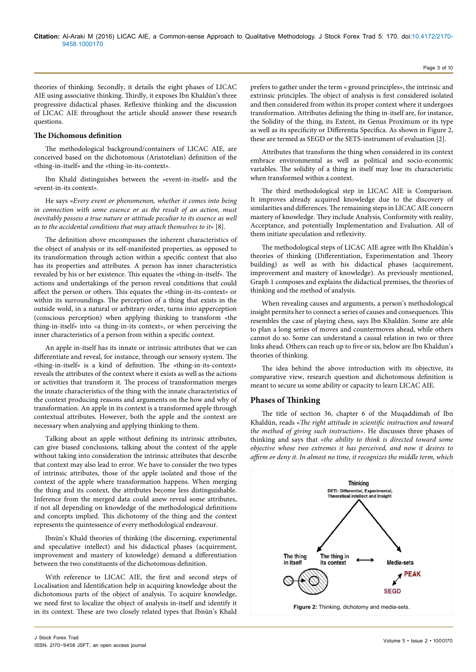theories of thinking. Secondly, it details the eight phases of LICAC AIE using associative thinking. Thirdly, it exposes Ibn Khaldūn's three progressive didactical phases. Reflexive thinking and the discussion of LICAC AIE throughout the article should answer these research questions.

#### **The Dichomous definition**

The methodological background/containers of LICAC AIE, are conceived based on the dichotomous (Aristotelian) definition of the «thing-in-itself» and the «thing-in-its-context».

Ibn Khald distinguishes between the «event-in-itself» and the «event-in-its context».

He says «*Every event or phenomenon, whether it comes into being in connection with some essence or as the result of an action, must inevitably possess a true nature or attitude peculiar to its essence as well as to the accidental conditions that may attach themselves to it*» [8].

The definition above encompasses the inherent characteristics of the object of analysis or its self-manifested properties, as opposed to its transformation through action within a specific context that also has its properties and attributes. A person has inner characteristics revealed by his or her existence. This equates the «thing-in-itself». The actions and undertakings of the person reveal conditions that could affect the person or others. This equates the «thing-in-its-context» or within its surroundings. The perception of a thing that exists in the outside wold, in a natural or arbitrary order, turns into apperception (conscious perception) when applying thinking to transform «the thing-in-itself» into «a thing-in-its context», or when perceiving the inner characteristics of a person from within a specific context.

An apple in-itself has its innate or intrinsic attributes that we can differentiate and reveal, for instance, through our sensory system. The «thing-in-itself» is a kind of definition. The «thing-in-its-context» reveals the attributes of the context where it exists as well as the actions or activities that transform it. The process of transformation merges the innate characteristics of the thing with the innate characteristics of the context producing reasons and arguments on the how and why of transformation. An apple in its context is a transformed apple through contextual attributes. However, both the apple and the context are necessary when analysing and applying thinking to them.

Talking about an apple without defining its intrinsic attributes, can give biased conclusions, talking about the context of the apple without taking into consideration the intrinsic attributes that describe that context may also lead to error. We have to consider the two types of intrinsic attributes, those of the apple isolated and those of the context of the apple where transformation happens. When merging the thing and its context, the attributes become less distinguishable. Inference from the merged data could anew reveal some attributes, if not all depending on knowledge of the methodological definitions and concepts implied. This dichotomy of the thing and the context represents the quintessence of every methodological endeavour.

Ibnūn's Khald theories of thinking (the discerning, experimental and speculative intellect) and his didactical phases (acquirement, improvement and mastery of knowledge) demand a differentiation between the two constituents of the dichotomous definition.

With reference to LICAC AIE, the first and second steps of Localisation and Identification help in acquiring knowledge about the dichotomous parts of the object of analysis. To acquire knowledge, we need first to localize the object of analysis in-itself and identify it in its context. These are two closely related types that Ibnūn's Khald

prefers to gather under the term « ground principles», the intrinsic and extrinsic principles. The object of analysis is first considered isolated and then considered from within its proper context where it undergoes transformation. Attributes defining the thing in-itself are, for instance, the Solidity of the thing, its Extent, its Genus Proximum or its type as well as its specificity or Differentia Specifica. As shown in Figure 2, these are termed as SEGD or the SETS-instrument of evaluation [2].

Attributes that transform the thing when considered in its context embrace environmental as well as political and socio-economic variables. The solidity of a thing in itself may lose its characteristic when transformed within a context.

The third methodological step in LICAC AIE is Comparison. It improves already acquired knowledge due to the discovery of similarities and differences. The remaining steps in LICAC AIE concern mastery of knowledge. They include Analysis, Conformity with reality, Acceptance, and potentially Implementation and Evaluation. All of them initiate speculation and reflexivity.

The methodological steps of LICAC AIE agree with Ibn Khaldūn's theories of thinking (Differentiation, Experimentation and Theory building) as well as with his didactical phases (acquirement, improvement and mastery of knowledge). As previously mentioned, Graph 1 composes and explains the didactical premises, the theories of thinking and the method of analysis.

When revealing causes and arguments, a person's methodological insight permits her to connect a series of causes and consequences. This resembles the case of playing chess, says Ibn Khaldūn. Some are able to plan a long series of moves and countermoves ahead, while others cannot do so. Some can understand a causal relation in two or three links ahead. Others can reach up to five or six, below are Ibn Khaldun's theories of thinking.

The idea behind the above introduction with its objective, its comparative view, research question and dichotomous definition is meant to secure us some ability or capacity to learn LICAC AIE.

#### **Phases of Thinking**

The title of section 36, chapter 6 of the Muqaddimah of Ibn Khaldūn, reads «*The right attitude in scientific instruction and toward the method of giving such instruction*». He discusses three phases of thinking and says that «*the ability to think is directed toward some objective whose two extremes it has perceived, and now it desires to affirm or deny it. In almost no time, it recognizes the middle term, which* 



Page 3 of 10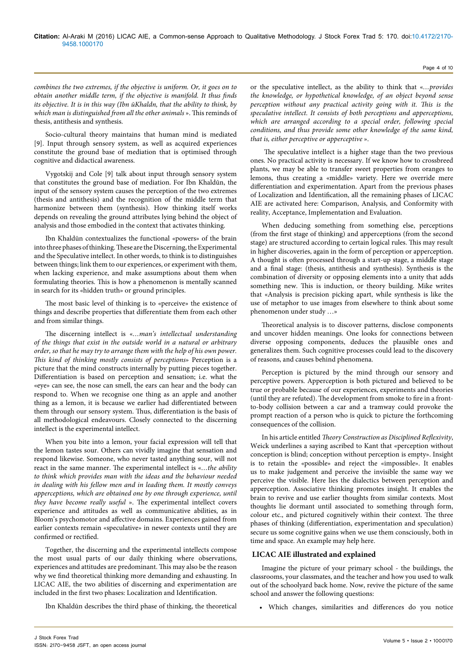*combines the two extremes, if the objective is uniform. Or, it goes on to obtain another middle term, if the objective is manifold. It thus finds its objective. It is in this way (Ibn ūKhaldn, that the ability to think, by which man is distinguished from all the other animals* ». This reminds of thesis, antithesis and synthesis.

Socio-cultural theory maintains that human mind is mediated [9]. Input through sensory system, as well as acquired experiences constitute the ground base of mediation that is optimised through cognitive and didactical awareness.

Vygotskij and Cole [9] talk about input through sensory system that constitutes the ground base of mediation. For Ibn Khaldūn, the input of the sensory system causes the perception of the two extremes (thesis and antithesis) and the recognition of the middle term that harmonize between them (synthesis). How thinking itself works depends on revealing the ground attributes lying behind the object of analysis and those embodied in the context that activates thinking.

Ibn Khaldūn contextualizes the functional «powers» of the brain into three phases of thinking. These are the Discerning, the Experimental and the Speculative intellect. In other words, to think is to distinguishes between things; link them to our experiences, or experiment with them, when lacking experience, and make assumptions about them when formulating theories. This is how a phenomenon is mentally scanned in search for its «hidden truth» or ground principles.

The most basic level of thinking is to «perceive» the existence of things and describe properties that differentiate them from each other and from similar things.

The discerning intellect is «*…man's intellectual understanding of the things that exist in the outside world in a natural or arbitrary order, so that he may try to arrange them with the help of his own power. This kind of thinking mostly consists of perceptions*» Perception is a picture that the mind constructs internally by putting pieces together. Differentiation is based on perception and sensation; i.e. what the «eye» can see, the nose can smell, the ears can hear and the body can respond to. When we recognise one thing as an apple and another thing as a lemon, it is because we earlier had differentiated between them through our sensory system. Thus, differentiation is the basis of all methodological endeavours. Closely connected to the discerning intellect is the experimental intellect.

When you bite into a lemon, your facial expression will tell that the lemon tastes sour. Others can vividly imagine that sensation and respond likewise. Someone, who never tasted anything sour, will not react in the same manner. The experimental intellect is «*…the ability to think which provides man with the ideas and the behaviour needed in dealing with his fellow men and in leading them. It mostly conveys apperceptions, which are obtained one by one through experience, until they have become really useful* ». The experimental intellect covers experience and attitudes as well as communicative abilities, as in Bloom's psychomotor and affective domains. Experiences gained from earlier contexts remain «speculative» in newer contexts until they are confirmed or rectified.

Together, the discerning and the experimental intellects compose the most usual parts of our daily thinking where observations, experiences and attitudes are predominant. This may also be the reason why we find theoretical thinking more demanding and exhausting. In LICAC AIE, the two abilities of discerning and experimentation are included in the first two phases: Localization and Identification.

Ibn Khaldūn describes the third phase of thinking, the theoretical

or the speculative intellect, as the ability to think that «*…provides the knowledge, or hypothetical knowledge, of an object beyond sense perception without any practical activity going with it. This is the speculative intellect. It consists of both perceptions and apperceptions,*  which are arranged according to a special order, following special *conditions, and thus provide some other knowledge of the same kind, that is, either perceptive or apperceptive* ».

Page 4 of 10

 The speculative intellect is a higher stage than the two previous ones. No practical activity is necessary. If we know how to crossbreed plants, we may be able to transfer sweet properties from oranges to lemons, thus creating a «middle» variety. Here we override mere differentiation and experimentation. Apart from the previous phases of Localization and Identification, all the remaining phases of LICAC AIE are activated here: Comparison, Analysis, and Conformity with reality, Acceptance, Implementation and Evaluation.

When deducing something from something else, perceptions (from the first stage of thinking) and apperceptions (from the second stage) are structured according to certain logical rules. This may result in higher discoveries, again in the form of perception or apperception. A thought is often processed through a start-up stage, a middle stage and a final stage: (thesis, antithesis and synthesis). Synthesis is the combination of diversity or opposing elements into a unity that adds something new. This is induction, or theory building. Mike writes that «Analysis is precision picking apart, while synthesis is like the use of metaphor to use images from elsewhere to think about some phenomenon under study …»

Theoretical analysis is to discover patterns, disclose components and uncover hidden meanings. One looks for connections between diverse opposing components, deduces the plausible ones and generalizes them. Such cognitive processes could lead to the discovery of reasons, and causes behind phenomena.

Perception is pictured by the mind through our sensory and perceptive powers. Apperception is both pictured and believed to be true or probable because of our experiences, experiments and theories (until they are refuted). The development from smoke to fire in a frontto-body collision between a car and a tramway could provoke the prompt reaction of a person who is quick to picture the forthcoming consequences of the collision.

In his article entitled *Theory Construction as Disciplined Reflexivity*, Weick underlines a saying ascribed to Kant that «perception without conception is blind; conception without perception is empty». Insight is to retain the «possible» and reject the «impossible». It enables us to make judgement and perceive the invisible the same way we perceive the visible. Here lies the dialectics between perception and apperception. Associative thinking promotes insight. It enables the brain to revive and use earlier thoughts from similar contexts. Most thoughts lie dormant until associated to something through form, colour etc., and pictured cognitively within their context. The three phases of thinking (differentiation, experimentation and speculation) secure us some cognitive gains when we use them consciously, both in time and space. An example may help here.

# **LICAC AIE illustrated and explained**

Imagine the picture of your primary school - the buildings, the classrooms, your classmates, and the teacher and how you used to walk out of the schoolyard back home. Now, revive the picture of the same school and answer the following questions:

• Which changes, similarities and differences do you notice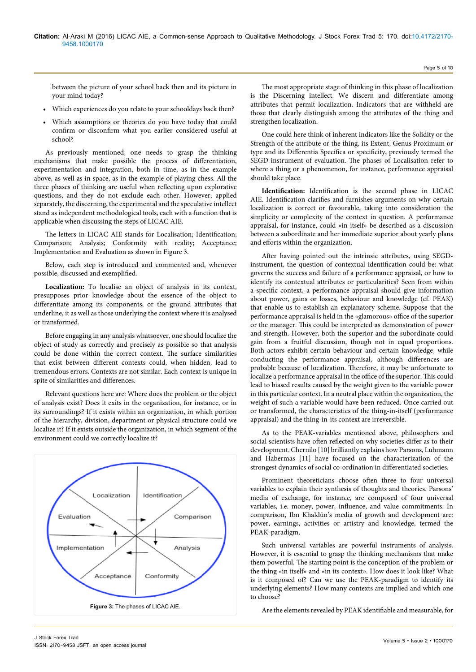between the picture of your school back then and its picture in your mind today?

- • Which experiences do you relate to your schooldays back then?
- • Which assumptions or theories do you have today that could confirm or disconfirm what you earlier considered useful at school?

As previously mentioned, one needs to grasp the thinking mechanisms that make possible the process of differentiation, experimentation and integration, both in time, as in the example above, as well as in space, as in the example of playing chess. All the three phases of thinking are useful when reflecting upon explorative questions, and they do not exclude each other. However, applied separately, the discerning, the experimental and the speculative intellect stand as independent methodological tools, each with a function that is applicable when discussing the steps of LICAC AIE.

The letters in LICAC AIE stands for Localisation; Identification; Comparison; Analysis; Conformity with reality; Acceptance; Implementation and Evaluation as shown in Figure 3.

Below, each step is introduced and commented and, whenever possible, discussed and exemplified.

**Localization:** To localise an object of analysis in its context, presupposes prior knowledge about the essence of the object to differentiate among its components, or the ground attributes that underline, it as well as those underlying the context where it is analysed or transformed.

Before engaging in any analysis whatsoever, one should localize the object of study as correctly and precisely as possible so that analysis could be done within the correct context. The surface similarities that exist between different contexts could, when hidden, lead to tremendous errors. Contexts are not similar. Each context is unique in spite of similarities and differences.

Relevant questions here are: Where does the problem or the object of analysis exist? Does it exits in the organization, for instance, or in its surroundings? If it exists within an organization, in which portion of the hierarchy, division, department or physical structure could we localize it? If it exists outside the organization, in which segment of the environment could we correctly localize it?



The most appropriate stage of thinking in this phase of localization is the Discerning intellect. We discern and differentiate among attributes that permit localization. Indicators that are withheld are those that clearly distinguish among the attributes of the thing and strengthen localization.

One could here think of inherent indicators like the Solidity or the Strength of the attribute or the thing, its Extent, Genus Proximum or type and its Differentia Specifica or specificity, previously termed the SEGD-instrument of evaluation. The phases of Localisation refer to where a thing or a phenomenon, for instance, performance appraisal should take place.

**Identification:** Identification is the second phase in LICAC AIE. Identification clarifies and furnishes arguments on why certain localization is correct or favourable, taking into consideration the simplicity or complexity of the context in question. A performance appraisal, for instance, could «in-itself» be described as a discussion between a subordinate and her immediate superior about yearly plans and efforts within the organization.

After having pointed out the intrinsic attributes, using SEGDinstrument, the question of contextual identification could be: what governs the success and failure of a performance appraisal, or how to identify its contextual attributes or particularities? Seen from within a specific context, a performance appraisal should give information about power, gains or losses, behaviour and knowledge (cf. PEAK) that enable us to establish an explanatory scheme. Suppose that the performance appraisal is held in the «glamorous» office of the superior or the manager. This could be interpreted as demonstration of power and strength. However, both the superior and the subordinate could gain from a fruitful discussion, though not in equal proportions. Both actors exhibit certain behaviour and certain knowledge, while conducting the performance appraisal, although differences are probable because of localization. Therefore, it may be unfortunate to localize a performance appraisal in the office of the superior. This could lead to biased results caused by the weight given to the variable power in this particular context. In a neutral place within the organization, the weight of such a variable would have been reduced. Once carried out or transformed, the characteristics of the thing-in-itself (performance appraisal) and the thing-in-its context are irreversible.

As to the PEAK-variables mentioned above, philosophers and social scientists have often reflected on why societies differ as to their development. Chernilo [10] brilliantly explains how Parsons, Luhmann and Habermas [11] have focused on the characterization of the strongest dynamics of social co-ordination in differentiated societies.

Prominent theoreticians choose often three to four universal variables to explain their synthesis of thoughts and theories. Parsons' media of exchange, for instance, are composed of four universal variables, i.e. money, power, influence, and value commitments. In comparison, Ibn Khaldūn's media of growth and development are: power, earnings, activities or artistry and knowledge, termed the PEAK-paradigm.

Such universal variables are powerful instruments of analysis. However, it is essential to grasp the thinking mechanisms that make them powerful. The starting point is the conception of the problem or the thing «in itself» and «in its context». How does it look like? What is it composed of? Can we use the PEAK-paradigm to identify its underlying elements? How many contexts are implied and which one to choose?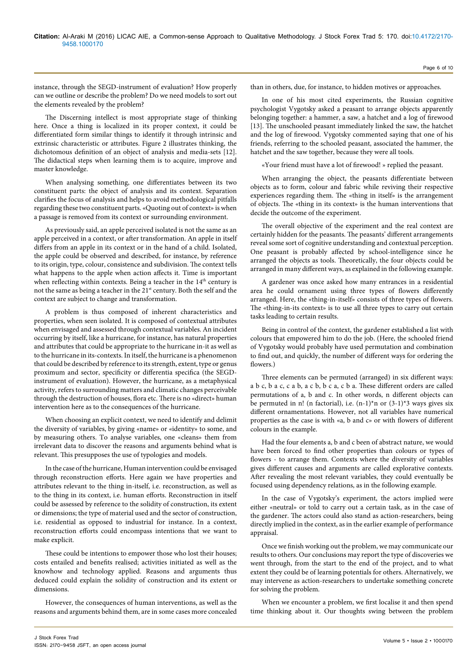instance, through the SEGD-instrument of evaluation? How properly can we outline or describe the problem? Do we need models to sort out the elements revealed by the problem?

The Discerning intellect is most appropriate stage of thinking here. Once a thing is localized in its proper context, it could be differentiated form similar things to identify it through intrinsic and extrinsic characteristic or attributes. Figure 2 illustrates thinking, the dichotomous definition of an object of analysis and media-sets [12]. The didactical steps when learning them is to acquire, improve and master knowledge.

When analysing something, one differentiates between its two constituent parts: the object of analysis and its context. Separation clarifies the focus of analysis and helps to avoid methodological pitfalls regarding these two constituent parts. «Quoting out of context» is when a passage is removed from its context or surrounding environment.

As previously said, an apple perceived isolated is not the same as an apple perceived in a context, or after transformation. An apple in itself differs from an apple in its context or in the hand of a child. Isolated, the apple could be observed and described, for instance, by reference to its origin, type, colour, consistence and subdivision. The context tells what happens to the apple when action affects it. Time is important when reflecting within contexts. Being a teacher in the  $14<sup>th</sup>$  century is not the same as being a teacher in the 21<sup>st</sup> century. Both the self and the context are subject to change and transformation.

A problem is thus composed of inherent characteristics and properties, when seen isolated. It is composed of contextual attributes when envisaged and assessed through contextual variables. An incident occurring by itself, like a hurricane, for instance, has natural properties and attributes that could be appropriate to the hurricane in-it as well as to the hurricane in its-contexts. In itself, the hurricane is a phenomenon that could be described by reference to its strength, extent, type or genus proximum and sector, specificity or differentia specifica (the SEGDinstrument of evaluation). However, the hurricane, as a metaphysical activity, refers to surrounding matters and climatic changes perceivable through the destruction of houses, flora etc. There is no «direct» human intervention here as to the consequences of the hurricane.

When choosing an explicit context, we need to identify and delimit the diversity of variables, by giving «name» or «identity» to some, and by measuring others. To analyse variables, one «cleans» them from irrelevant data to discover the reasons and arguments behind what is relevant. This presupposes the use of typologies and models.

In the case of the hurricane, Human intervention could be envisaged through reconstruction efforts. Here again we have properties and attributes relevant to the thing in-itself, i.e. reconstruction, as well as to the thing in its context, i.e. human efforts. Reconstruction in itself could be assessed by reference to the solidity of construction, its extent or dimensions; the type of material used and the sector of construction, i.e. residential as opposed to industrial for instance. In a context, reconstruction efforts could encompass intentions that we want to make explicit.

These could be intentions to empower those who lost their houses; costs entailed and benefits realised; activities initiated as well as the knowhow and technology applied. Reasons and arguments thus deduced could explain the solidity of construction and its extent or dimensions.

However, the consequences of human interventions, as well as the reasons and arguments behind them, are in some cases more concealed than in others, due, for instance, to hidden motives or approaches.

In one of his most cited experiments, the Russian cognitive psychologist Vygotsky asked a peasant to arrange objects apparently belonging together: a hammer, a saw, a hatchet and a log of firewood [13]. The unschooled peasant immediately linked the saw, the hatchet and the log of firewood. Vygotsky commented saying that one of his friends, referring to the schooled peasant, associated the hammer, the hatchet and the saw together, because they were all tools.

«Your friend must have a lot of firewood! » replied the peasant.

When arranging the object, the peasants differentiate between objects as to form, colour and fabric while reviving their respective experiences regarding them. The «thing in itself» is the arrangement of objects. The «thing in its context» is the human interventions that decide the outcome of the experiment.

The overall objective of the experiment and the real context are certainly hidden for the peasants. The peasants' different arrangements reveal some sort of cognitive understanding and contextual perception. One peasant is probably affected by school-intelligence since he arranged the objects as tools. Theoretically, the four objects could be arranged in many different ways, as explained in the following example.

A gardener was once asked how many entrances in a residential area he could ornament using three types of flowers differently arranged. Here, the «thing-in-itself» consists of three types of flowers. The «thing-in-its context» is to use all three types to carry out certain tasks leading to certain results.

Being in control of the context, the gardener established a list with colours that empowered him to do the job. (Here, the schooled friend of Vygotsky would probably have used permutation and combination to find out, and quickly, the number of different ways for ordering the flowers.)

Three elements can be permuted (arranged) in six different ways: a b c, b a c, c a b, a c b, b c a, c b a. These different orders are called permutations of a, b and c. In other words, n different objects can be permuted in n! (n factorial), i.e.  $(n-1)^*n$  or  $(3-1)^*3$  ways gives six different ornamentations. However, not all variables have numerical properties as the case is with «a, b and c» or with flowers of different colours in the example.

Had the four elements a, b and c been of abstract nature, we would have been forced to find other properties than colours or types of flowers - to arrange them. Contexts where the diversity of variables gives different causes and arguments are called explorative contexts. After revealing the most relevant variables, they could eventually be focused using dependency relations, as in the following example.

In the case of Vygotsky's experiment, the actors implied were either «neutral» or told to carry out a certain task, as in the case of the gardener. The actors could also stand as action-researchers, being directly implied in the context, as in the earlier example of performance appraisal.

Once we finish working out the problem, we may communicate our results to others. Our conclusions may report the type of discoveries we went through, from the start to the end of the project, and to what extent they could be of learning potentials for others. Alternatively, we may intervene as action-researchers to undertake something concrete for solving the problem.

When we encounter a problem, we first localise it and then spend time thinking about it. Our thoughts swing between the problem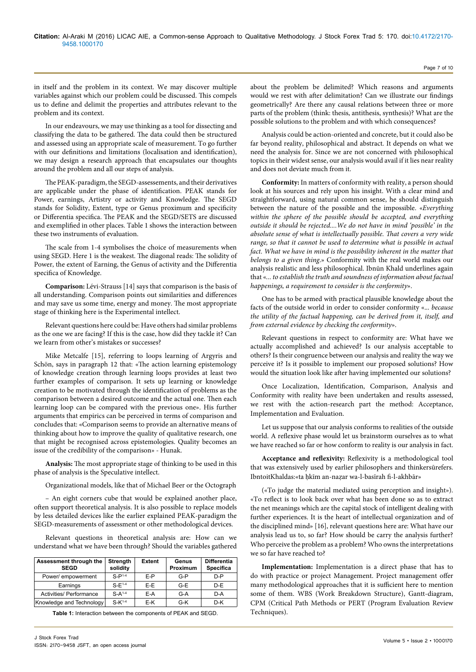in itself and the problem in its context. We may discover multiple variables against which our problem could be discussed. This compels us to define and delimit the properties and attributes relevant to the problem and its context.

In our endeavours, we may use thinking as a tool for dissecting and classifying the data to be gathered. The data could then be structured and assessed using an appropriate scale of measurement. To go further with our definitions and limitations (localisation and identification), we may design a research approach that encapsulates our thoughts around the problem and all our steps of analysis.

The PEAK-paradigm, the SEGD-assessements, and their derivatives are applicable under the phase of identification. PEAK stands for Power, earnings, Artistry or activity and Knowledge. The SEGD stands for Solidity, Extent, type or Genus proximum and specificity or Differentia specifica. The PEAK and the SEGD/SETS are discussed and exemplified in other places. Table 1 shows the interaction between these two instruments of evaluation.

The scale from 1-4 symbolises the choice of measurements when using SEGD. Here 1 is the weakest. The diagonal reads: The solidity of Power, the extent of Earning, the Genus of activity and the Differentia specifica of Knowledge.

**Comparison:** Lévi-Strauss [14] says that comparison is the basis of all understanding. Comparison points out similarities and differences and may save us some time, energy and money. The most appropriate stage of thinking here is the Experimental intellect.

Relevant questions here could be: Have others had similar problems as the one we are facing? If this is the case, how did they tackle it? Can we learn from other's mistakes or successes?

Mike Metcalfe [15], referring to loops learning of Argyris and Schön, says in paragraph 12 that: «The action learning epistemology of knowledge creation through learning loops provides at least two further examples of comparison. It sets up learning or knowledge creation to be motivated through the identification of problems as the comparison between a desired outcome and the actual one. Then each learning loop can be compared with the previous one». His further arguments that empirics can be perceived in terms of comparison and concludes that: «Comparison seems to provide an alternative means of thinking about how to improve the quality of qualitative research, one that might be recognised across epistemologies. Quality becomes an issue of the credibility of the comparison» - Hunak.

**Analysis:** The most appropriate stage of thinking to be used in this phase of analysis is the Speculative intellect.

Organizational models, like that of Michael Beer or the Octograph

– An eight corners cube that would be explained another place, often support theoretical analysis. It is also possible to replace models by less detailed devices like the earlier explained PEAK-paradigm the SEGD-measurements of assessment or other methodological devices.

Relevant questions in theoretical analysis are: How can we understand what we have been through? Should the variables gathered

| Assessment through the<br><b>SEGD</b> | <b>Strength</b><br>solidity | <b>Extent</b> | Genus<br><b>Proximum</b> | <b>Differentia</b><br><b>Specifica</b> |
|---------------------------------------|-----------------------------|---------------|--------------------------|----------------------------------------|
| Power/ empowerment                    | $S-P1-4$                    | F-P           | G-P                      | $D - P$                                |
| Earnings                              | $S-F1-4$                    | E-E           | $G-E$                    | D-E                                    |
| Activities/ Performance               | $S-A^{1-4}$                 | E-A           | $G-A$                    | D-A                                    |
| Knowledge and Technology              | $S-K^{1.4}$                 | F-K           | G-K                      | D-K                                    |

**Table 1:** Interaction between the components of PEAK and SEGD. Techniques).

about the problem be delimited? Which reasons and arguments would we rest with after delimitation? Can we illustrate our findings geometrically? Are there any causal relations between three or more parts of the problem (think: thesis, antithesis, synthesis)? What are the possible solutions to the problem and with which consequences?

Page 7 of 10

Analysis could be action-oriented and concrete, but it could also be far beyond reality, philosophical and abstract. It depends on what we need the analysis for. Since we are not concerned with philosophical topics in their widest sense, our analysis would avail if it lies near reality and does not deviate much from it.

**Conformity:** In matters of conformity with reality, a person should look at his sources and rely upon his insight. With a clear mind and straightforward, using natural common sense, he should distinguish between the nature of the possible and the impossible. «*Everything within the sphere of the possible should be accepted, and everything outside it should be rejected....We do not have in mind 'possible' in the absolute sense of what is intellectually possible. That covers a very wide*  range, so that it cannot be used to determine what is possible in actual fact. What we have in mind is the possibility inherent in the matter that *belongs to a given thing*.» Conformity with the real world makes our analysis realistic and less philosophical. Ibnūn Khald underlines again that «*... to establish the truth and soundness of information about factual happenings, a requirement to consider is the conformity*».

One has to be armed with practical plausible knowledge about the facts of the outside world in order to consider conformity «... *because the utility of the factual happening, can be derived from it, itself, and from external evidence by checking the conformity*».

Relevant questions in respect to conformity are: What have we actually accomplished and achieved? Is our analysis acceptable to others? Is their congruence between our analysis and reality the way we perceive it? Is it possible to implement our proposed solutions? How would the situation look like after having implemented our solutions?

Once Localization, Identification, Comparison, Analysis and Conformity with reality have been undertaken and results assessed, we rest with the action-research part the method: Acceptance, Implementation and Evaluation.

Let us suppose that our analysis conforms to realities of the outside world. A reflexive phase would let us brainstorm ourselves as to what we have reached so far or how conform to reality is our analysis in fact.

**Acceptance and reflexivity:** Reflexivity is a methodological tool that was extensively used by earlier philosophers and thinkersūrefers. IbntoitKhaldas:«ta ḥkīm an-naẓar wa-l-basīrah fi-l-akhbār»

(«To judge the material mediated using perception and insight»). «To reflect is to look back over what has been done so as to extract the net meanings which are the capital stock of intelligent dealing with further experiences. It is the heart of intellectual organization and of the disciplined mind» [16], relevant questions here are: What have our analysis lead us to, so far? How should be carry the analysis further? Who perceive the problem as a problem? Who owns the interpretations we so far have reached to?

**Implementation:** Implementation is a direct phase that has to do with practice or project Management. Project management offer many methodological approaches that it is sufficient here to mention some of them. WBS (Work Breakdown Structure), Gantt-diagram, CPM (Critical Path Methods or PERT (Program Evaluation Review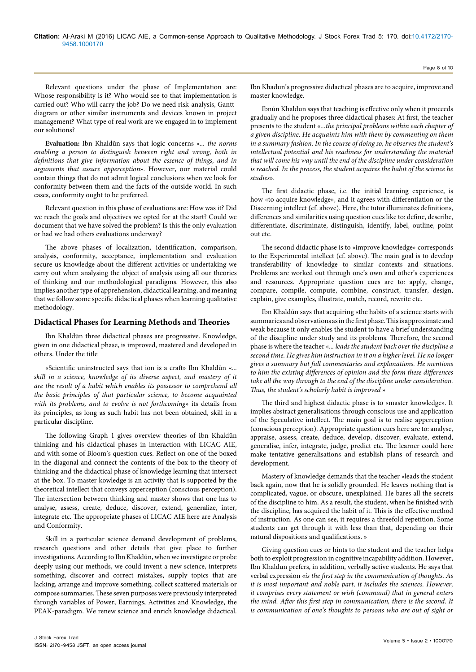Relevant questions under the phase of Implementation are: Whose responsibility is it? Who would see to that implementation is carried out? Who will carry the job? Do we need risk-analysis, Ganttdiagram or other similar instruments and devices known in project management? What type of real work are we engaged in to implement our solutions?

**Evaluation:** Ibn Khaldūn says that logic concerns «*... the norms*  enabling a person to distinguish between right and wrong, both in *definitions that give information about the essence of things, and in arguments that assure apperception*». However, our material could contain things that do not admit logical conclusions when we look for conformity between them and the facts of the outside world. In such cases, conformity ought to be preferred.

Relevant question in this phase of evaluations are: How was it? Did we reach the goals and objectives we opted for at the start? Could we document that we have solved the problem? Is this the only evaluation or had we had others evaluations underway?

The above phases of localization, identification, comparison, analysis, conformity, acceptance, implementation and evaluation secure us knowledge about the different activities or undertaking we carry out when analysing the object of analysis using all our theories of thinking and our methodological paradigms. However, this also implies another type of apprehension, didactical learning, and meaning that we follow some specific didactical phases when learning qualitative methodology.

#### **Didactical Phases for Learning Methods and Theories**

Ibn Khaldūn three didactical phases are progressive. Knowledge, given in one didactical phase, is improved, mastered and developed in others. Under the title

«Scientific uninstructed says that ion is a craft» Ibn Khaldūn «... *skill in a science, knowledge of its diverse aspect, and mastery of it are the result of a habit which enables its possessor to comprehend all the basic principles of that particular science, to become acquainted with its problems, and to evolve is not forthcoming*» its details from its principles, as long as such habit has not been obtained, skill in a particular discipline.

The following Graph 1 gives overview theories of Ibn Khaldūn thinking and his didactical phases in interaction with LICAC AIE, and with some of Bloom's question cues. Reflect on one of the boxed in the diagonal and connect the contents of the box to the theory of thinking and the didactical phase of knowledge learning that intersect at the box. To master kowledge is an activity that is supported by the theoretical intellect that conveys apperception (conscious perception). The intersection between thinking and master shows that one has to analyse, assess, create, deduce, discover, extend, generalize, inter, integrate etc. The appropriate phases of LICAC AIE here are Analysis and Conformity.

Skill in a particular science demand development of problems, research questions and other details that give place to further investigations. According to Ibn Khaldūn, when we investigate or probe deeply using our methods, we could invent a new science, interprets something, discover and correct mistakes, supply topics that are lacking, arrange and improve something, collect scattered materials or compose summaries. These seven purposes were previously interpreted through variables of Power, Earnings, Activities and Knowledge, the PEAK-paradigm. We renew science and enrich knowledge didactical. Ibn Khadun's progressive didactical phases are to acquire, improve and master knowledge.

Ibnūn Khaldun says that teaching is effective only when it proceeds gradually and he proposes three didactical phases: At first, the teacher presents to the student «*...the principal problems within each chapter of a given discipline. He acquaints him with them by commenting on them in a summary fashion. In the course of doing so, he observes the student's intellectual potential and his readiness for understanding the material that will come his way until the end of the discipline under consideration is reached. In the process, the student acquires the habit of the science he studies*».

The first didactic phase, i.e. the initial learning experience, is how «to acquire knowledge», and it agrees with differentiation or the Discerning intellect (cf. above). Here, the tutor illuminates definitions, differences and similarities using question cues like to: define, describe, differentiate, discriminate, distinguish, identify, label, outline, point out etc.

The second didactic phase is to «improve knowledge» corresponds to the Experimental intellect (cf. above). The main goal is to develop transferability of knowledge to similar contexts and situations. Problems are worked out through one's own and other's experiences and resources. Appropriate question cues are to: apply, change, compare, compile, compute, combine, construct, transfer, design, explain, give examples, illustrate, match, record, rewrite etc.

Ibn Khaldūn says that acquiring «the habit» of a science starts with summaries and observations as in the first phase. This is approximate and weak because it only enables the student to have a brief understanding of the discipline under study and its problems. Therefore, the second phase is where the teacher «.*.. leads the student back over the discipline a second time. He gives him instruction in it on a higher level. He no longer gives a summary but full commentaries and explanations. He mentions to him the existing differences of opinion and the form these differences take all the way through to the end of the discipline under consideration. Thus, the student's scholarly habit is improved* »

The third and highest didactic phase is to «master knowledge». It implies abstract generalisations through conscious use and application of the Speculative intellect. The main goal is to realise apperception (conscious perception). Appropriate question cues here are to: analyse, appraise, assess, create, deduce, develop, discover, evaluate, extend, generalise, infer, integrate, judge, predict etc. The learner could here make tentative generalisations and establish plans of research and development.

Mastery of knowledge demands that the teacher «leads the student back again, now that he is solidly grounded. He leaves nothing that is complicated, vague, or obscure, unexplained. He bares all the secrets of the discipline to him. As a result, the student, when he finished with the discipline, has acquired the habit of it. This is the effective method of instruction. As one can see, it requires a threefold repetition. Some students can get through it with less than that, depending on their natural dispositions and qualifications. »

Giving question cues or hints to the student and the teacher helps both to exploit progression in cognitive incapability addition. However, Ibn Khaldun prefers, in addition, verbally active students. He says that verbal expression «*is the first step in the communication of thoughts. As it is most important and noble part, it includes the sciences. However, it comprises every statement or wish (command) that in general enters the mind. After this first step in communication, there is the second. It is communication of one's thoughts to persons who are out of sight or*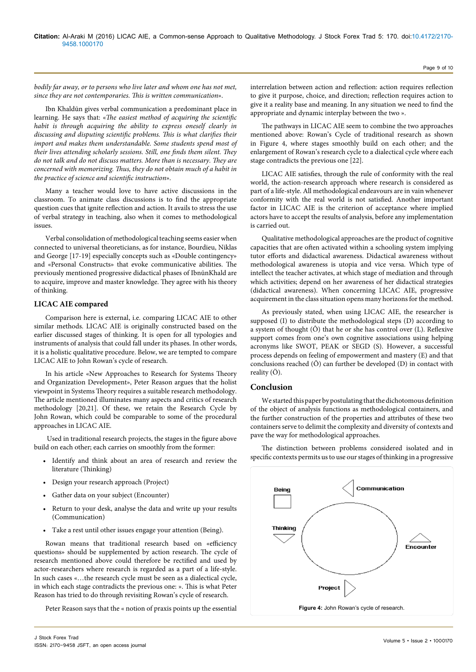*bodily far away, or to persons who live later and whom one has not met, since they are not contemporaries. This is written communication*».

Ibn Khaldūn gives verbal communication a predominant place in learning. He says that: «*The easiest method of acquiring the scientific habit is through acquiring the ability to express oneself clearly in discussing and disputing scientific problems. This is what clarifies their import and makes them understandable. Some students spend most of their lives attending scholarly sessions. Still, one finds them silent. They do not talk and do not discuss matters. More than is necessary. They are concerned with memorizing. Thus, they do not obtain much of a habit in the practice of science and scientific instruction*».

Many a teacher would love to have active discussions in the classroom. To animate class discussions is to find the appropriate question cues that ignite reflection and action. It avails to stress the use of verbal strategy in teaching, also when it comes to methodological issues.

Verbal consolidation of methodological teaching seems easier when connected to universal theoreticians, as for instance, Bourdieu, Niklas and George [17-19] especially concepts such as «Double contingency» and «Personal Constructs» that evoke communicative abilities. The previously mentioned progressive didactical phases of IbnūnKhald are to acquire, improve and master knowledge. They agree with his theory of thinking.

## **LICAC AIE compared**

Comparison here is external, i.e. comparing LICAC AIE to other similar methods. LICAC AIE is originally constructed based on the earlier discussed stages of thinking. It is open for all typologies and instruments of analysis that could fall under its phases. In other words, it is a holistic qualitative procedure. Below, we are tempted to compare LICAC AIE to John Rowan's cycle of research.

In his article «New Approaches to Research for Systems Theory and Organization Development», Peter Reason argues that the holist viewpoint in Systems Theory requires a suitable research methodology. The article mentioned illuminates many aspects and critics of research methodology [20,21]. Of these, we retain the Research Cycle by John Rowan, which could be comparable to some of the procedural approaches in LICAC AIE.

 Used in traditional research projects, the stages in the figure above build on each other; each carries on smoothly from the former:

- • Identify and think about an area of research and review the literature (Thinking)
- • Design your research approach (Project)
- • Gather data on your subject (Encounter)
- Return to your desk, analyse the data and write up your results (Communication)
- • Take a rest until other issues engage your attention (Being).

Rowan means that traditional research based on «efficiency questions» should be supplemented by action research. The cycle of research mentioned above could therefore be rectified and used by actor-researchers where research is regarded as a part of a life-style. In such cases «…the research cycle must be seen as a dialectical cycle, in which each stage contradicts the previous one: ». This is what Peter Reason has tried to do through revisiting Rowan's cycle of research.

Peter Reason says that the « notion of praxis points up the essential

interrelation between action and reflection: action requires reflection to give it purpose, choice, and direction; reflection requires action to give it a reality base and meaning. In any situation we need to find the appropriate and dynamic interplay between the two ».

The pathways in LICAC AIE seem to combine the two approaches mentioned above: Rowan's Cycle of traditional research as shown in Figure 4, where stages smoothly build on each other; and the enlargement of Rowan's research cycle to a dialectical cycle where each stage contradicts the previous one [22].

LICAC AIE satisfies, through the rule of conformity with the real world, the action-research approach where research is considered as part of a life-style. All methodological endeavours are in vain whenever conformity with the real world is not satisfied. Another important factor in LICAC AIE is the criterion of acceptance where implied actors have to accept the results of analysis, before any implementation is carried out.

Qualitative methodological approaches are the product of cognitive capacities that are often activated within a schooling system implying tutor efforts and didactical awareness. Didactical awareness without methodological awareness is utopia and vice versa. Which type of intellect the teacher activates, at which stage of mediation and through which activities; depend on her awareness of her didactical strategies (didactical awareness). When concerning LICAC AIE, progressive acquirement in the class situation opens many horizons for the method.

As previously stated, when using LICAC AIE, the researcher is supposed (I) to distribute the methodological steps (D) according to a system of thought (Ô) that he or she has control over (L). Reflexive support comes from one's own cognitive associations using helping acronyms like SWOT, PEAK or SEGD (S). However, a successful process depends on feeling of empowerment and mastery (E) and that conclusions reached (Õ) can further be developed (D) in contact with reality (Ö).

# **Conclusion**

We started this paper by postulating that the dichotomous definition of the object of analysis functions as methodological containers, and the further construction of the properties and attributes of these two containers serve to delimit the complexity and diversity of contexts and pave the way for methodological approaches.

The distinction between problems considered isolated and in specific contexts permits us to use our stages of thinking in a progressive